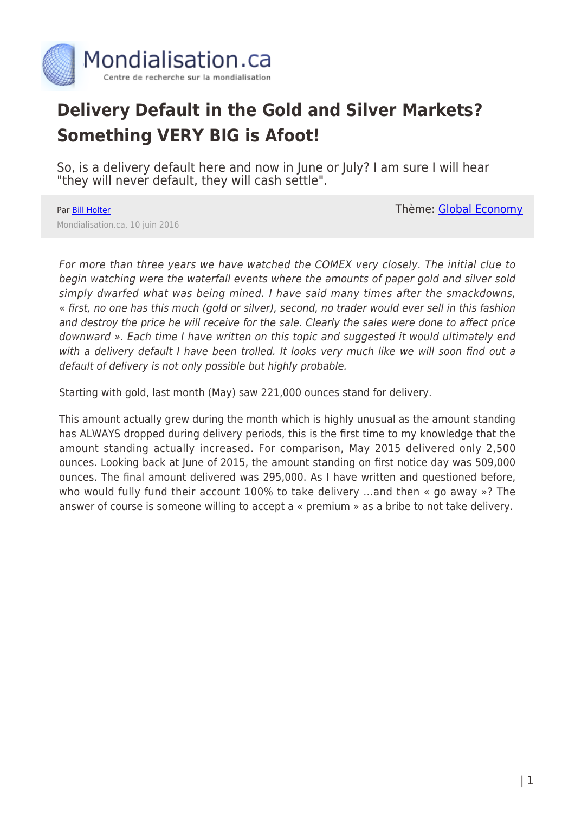

## **Delivery Default in the Gold and Silver Markets? Something VERY BIG is Afoot!**

So, is a delivery default here and now in June or July? I am sure I will hear "they will never default, they will cash settle".

## Par **[Bill Holter](https://www.mondialisation.ca/author/holter)**

Mondialisation.ca, 10 juin 2016

Thème: [Global Economy](https://www.mondialisation.ca/theme/global-economy)

For more than three years we have watched the COMEX very closely. The initial clue to begin watching were the waterfall events where the amounts of paper gold and silver sold simply dwarfed what was being mined. I have said many times after the smackdowns, « first, no one has this much (gold or silver), second, no trader would ever sell in this fashion and destroy the price he will receive for the sale. Clearly the sales were done to affect price downward ». Each time I have written on this topic and suggested it would ultimately end with a delivery default I have been trolled. It looks very much like we will soon find out a default of delivery is not only possible but highly probable.

Starting with gold, last month (May) saw 221,000 ounces stand for delivery.

This amount actually grew during the month which is highly unusual as the amount standing has ALWAYS dropped during delivery periods, this is the first time to my knowledge that the amount standing actually increased. For comparison, May 2015 delivered only 2,500 ounces. Looking back at June of 2015, the amount standing on first notice day was 509,000 ounces. The final amount delivered was 295,000. As I have written and questioned before, who would fully fund their account 100% to take delivery …and then « go away »? The answer of course is someone willing to accept a « premium » as a bribe to not take delivery.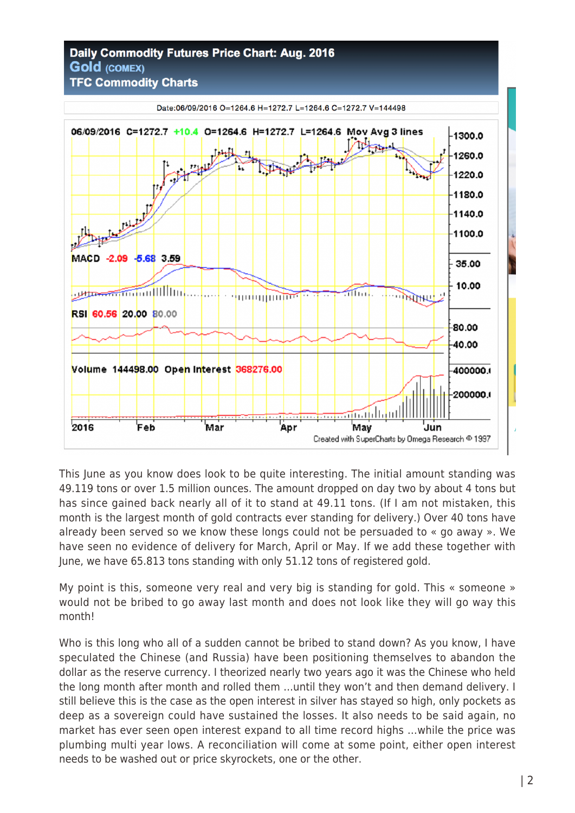## **Daily Commodity Futures Price Chart: Aug. 2016 Gold (COMEX)**



This June as you know does look to be quite interesting. The initial amount standing was 49.119 tons or over 1.5 million ounces. The amount dropped on day two by about 4 tons but has since gained back nearly all of it to stand at 49.11 tons. (If I am not mistaken, this month is the largest month of gold contracts ever standing for delivery.) Over 40 tons have already been served so we know these longs could not be persuaded to « go away ». We have seen no evidence of delivery for March, April or May. If we add these together with June, we have 65.813 tons standing with only 51.12 tons of registered gold.

My point is this, someone very real and very big is standing for gold. This « someone » would not be bribed to go away last month and does not look like they will go way this month!

Who is this long who all of a sudden cannot be bribed to stand down? As you know, I have speculated the Chinese (and Russia) have been positioning themselves to abandon the dollar as the reserve currency. I theorized nearly two years ago it was the Chinese who held the long month after month and rolled them …until they won't and then demand delivery. I still believe this is the case as the open interest in silver has stayed so high, only pockets as deep as a sovereign could have sustained the losses. It also needs to be said again, no market has ever seen open interest expand to all time record highs …while the price was plumbing multi year lows. A reconciliation will come at some point, either open interest needs to be washed out or price skyrockets, one or the other.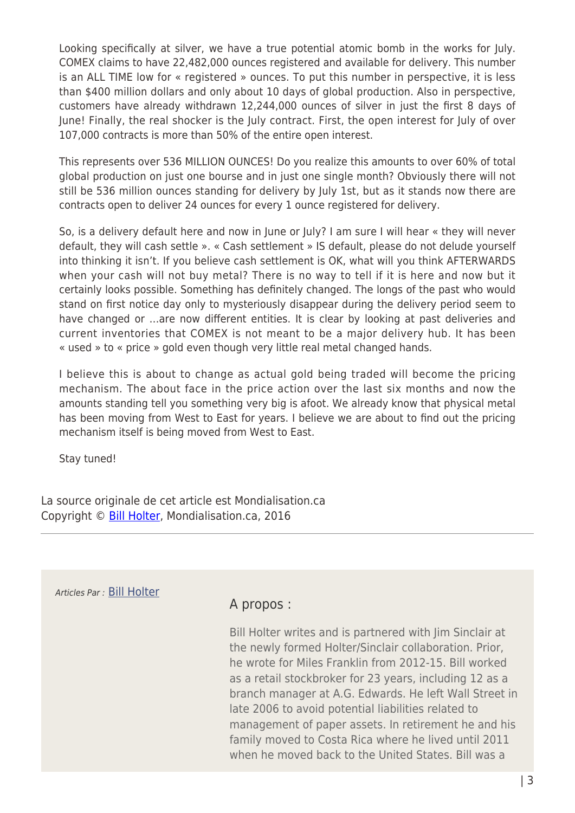Looking specifically at silver, we have a true potential atomic bomb in the works for July. COMEX claims to have 22,482,000 ounces registered and available for delivery. This number is an ALL TIME low for « registered » ounces. To put this number in perspective, it is less than \$400 million dollars and only about 10 days of global production. Also in perspective, customers have already withdrawn 12,244,000 ounces of silver in just the first 8 days of June! Finally, the real shocker is the July contract. First, the open interest for July of over 107,000 contracts is more than 50% of the entire open interest.

This represents over 536 MILLION OUNCES! Do you realize this amounts to over 60% of total global production on just one bourse and in just one single month? Obviously there will not still be 536 million ounces standing for delivery by July 1st, but as it stands now there are contracts open to deliver 24 ounces for every 1 ounce registered for delivery.

So, is a delivery default here and now in June or July? I am sure I will hear « they will never default, they will cash settle ». « Cash settlement » IS default, please do not delude yourself into thinking it isn't. If you believe cash settlement is OK, what will you think AFTERWARDS when your cash will not buy metal? There is no way to tell if it is here and now but it certainly looks possible. Something has definitely changed. The longs of the past who would stand on first notice day only to mysteriously disappear during the delivery period seem to have changed or …are now different entities. It is clear by looking at past deliveries and current inventories that COMEX is not meant to be a major delivery hub. It has been « used » to « price » gold even though very little real metal changed hands.

I believe this is about to change as actual gold being traded will become the pricing mechanism. The about face in the price action over the last six months and now the amounts standing tell you something very big is afoot. We already know that physical metal has been moving from West to East for years. I believe we are about to find out the pricing mechanism itself is being moved from West to East.

Stay tuned!

La source originale de cet article est Mondialisation.ca Copyright © [Bill Holter,](https://www.mondialisation.ca/author/holter) Mondialisation.ca, 2016

Articles Par : [Bill Holter](https://www.mondialisation.ca/author/holter)

## A propos :

Bill Holter writes and is partnered with Jim Sinclair at the newly formed Holter/Sinclair collaboration. Prior, he wrote for Miles Franklin from 2012-15. Bill worked as a retail stockbroker for 23 years, including 12 as a branch manager at A.G. Edwards. He left Wall Street in late 2006 to avoid potential liabilities related to management of paper assets. In retirement he and his family moved to Costa Rica where he lived until 2011 when he moved back to the United States. Bill was a